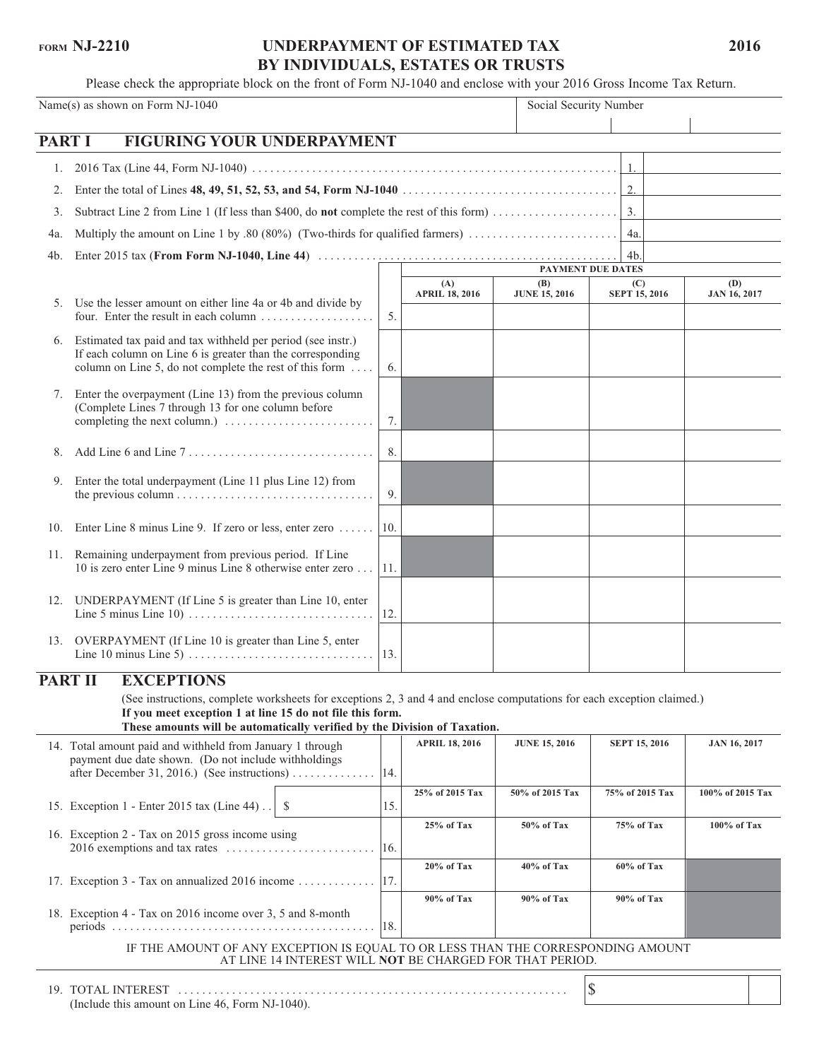# **FORM NJ-2210 UNDERPAYMENT OF ESTIMATED TAX 2016 BY INDIVIDUALS, ESTATES OR TRUSTS**

Please check the appropriate block on the front of Form NJ-1040 and enclose with your 2016 Gross Income Tax Return.

|               | Name(s) as shown on Form NJ-1040                                                                                                                                                     |                  |                              | Social Security Number      |                             |                            |
|---------------|--------------------------------------------------------------------------------------------------------------------------------------------------------------------------------------|------------------|------------------------------|-----------------------------|-----------------------------|----------------------------|
|               |                                                                                                                                                                                      |                  |                              |                             |                             |                            |
| <b>PART I</b> | FIGURING YOUR UNDERPAYMENT                                                                                                                                                           |                  |                              |                             |                             |                            |
| 1.            |                                                                                                                                                                                      |                  |                              |                             |                             |                            |
| 2.            |                                                                                                                                                                                      |                  |                              |                             |                             |                            |
| 3.            |                                                                                                                                                                                      |                  |                              |                             |                             |                            |
| 4a.           | Multiply the amount on Line 1 by .80 (80%) (Two-thirds for qualified farmers) $\dots\dots\dots\dots\dots\dots\dots\dots$                                                             |                  |                              |                             | 4a.                         |                            |
| 4b.           |                                                                                                                                                                                      |                  |                              |                             | 4 <sub>b</sub>              |                            |
|               |                                                                                                                                                                                      |                  |                              |                             | PAYMENT DUE DATES           |                            |
|               |                                                                                                                                                                                      |                  | (A)<br><b>APRIL 18, 2016</b> | (B)<br><b>JUNE 15, 2016</b> | (C)<br><b>SEPT 15, 2016</b> | (D)<br><b>JAN 16, 2017</b> |
| 5.            | Use the lesser amount on either line 4a or 4b and divide by<br>four. Enter the result in each column                                                                                 | $\overline{5}$ . |                              |                             |                             |                            |
| 6.            | Estimated tax paid and tax withheld per period (see instr.)<br>If each column on Line 6 is greater than the corresponding<br>column on Line 5, do not complete the rest of this form | 6.               |                              |                             |                             |                            |
| 7.            | Enter the overpayment (Line 13) from the previous column<br>(Complete Lines 7 through 13 for one column before<br>completing the next column.)                                       | 7.               |                              |                             |                             |                            |
| 8.            |                                                                                                                                                                                      | 8.               |                              |                             |                             |                            |
| 9.            | Enter the total underpayment (Line 11 plus Line 12) from                                                                                                                             | 9.               |                              |                             |                             |                            |
| 10.           | Enter Line 8 minus Line 9. If zero or less, enter zero                                                                                                                               | 10.              |                              |                             |                             |                            |
| 11.           | Remaining underpayment from previous period. If Line<br>10 is zero enter Line 9 minus Line 8 otherwise enter zero                                                                    | 11.              |                              |                             |                             |                            |
| 12.           | UNDERPAYMENT (If Line 5 is greater than Line 10, enter                                                                                                                               | 12.              |                              |                             |                             |                            |
| 13.           | OVERPAYMENT (If Line 10 is greater than Line 5, enter<br>$\frac{1}{2}$                                                                                                               |                  |                              |                             |                             |                            |

## **PART II EXCEPTIONS**

(See instructions, complete worksheets for exceptions 2, 3 and 4 and enclose computations for each exception claimed.) **If you meet exception 1 at line 15 do not file this form.**

**These amounts will be automatically verified by the Division of Taxation.**

| 14. Total amount paid and withheld from January 1 through<br>payment due date shown. (Do not include withholdings                                   | 14. | <b>APRIL 18, 2016</b> | <b>JUNE 15, 2016</b> | <b>SEPT 15, 2016</b> | <b>JAN 16, 2017</b> |
|-----------------------------------------------------------------------------------------------------------------------------------------------------|-----|-----------------------|----------------------|----------------------|---------------------|
| 15. Exception 1 - Enter 2015 tax (Line 44)   \$                                                                                                     | 15. | 25% of 2015 Tax       | 50% of 2015 Tax      | 75% of 2015 Tax      | 100% of 2015 Tax    |
| 16. Exception 2 - Tax on 2015 gross income using                                                                                                    |     | $25%$ of Tax          | 50% of Tax           | 75% of Tax           | $100\%$ of Tax      |
|                                                                                                                                                     |     | $20\%$ of Tax         | $40\%$ of Tax        | $60\%$ of Tax        |                     |
| 18. Exception 4 - Tax on 2016 income over 3, 5 and 8-month                                                                                          |     | 90% of Tax            | 90% of Tax           | $90\%$ of Tax        |                     |
| IF THE AMOUNT OF ANY EXCEPTION IS EQUAL TO OR LESS THAN THE CORRESPONDING AMOUNT<br>AT LINE 14 INTEREST WILL <b>NOT BE CHARGED FOR THAT PERIOD.</b> |     |                       |                      |                      |                     |
| 19. TOTAL INTEREST<br>(Include this amount on Line 46, Form NJ-1040).                                                                               |     |                       |                      | D                    |                     |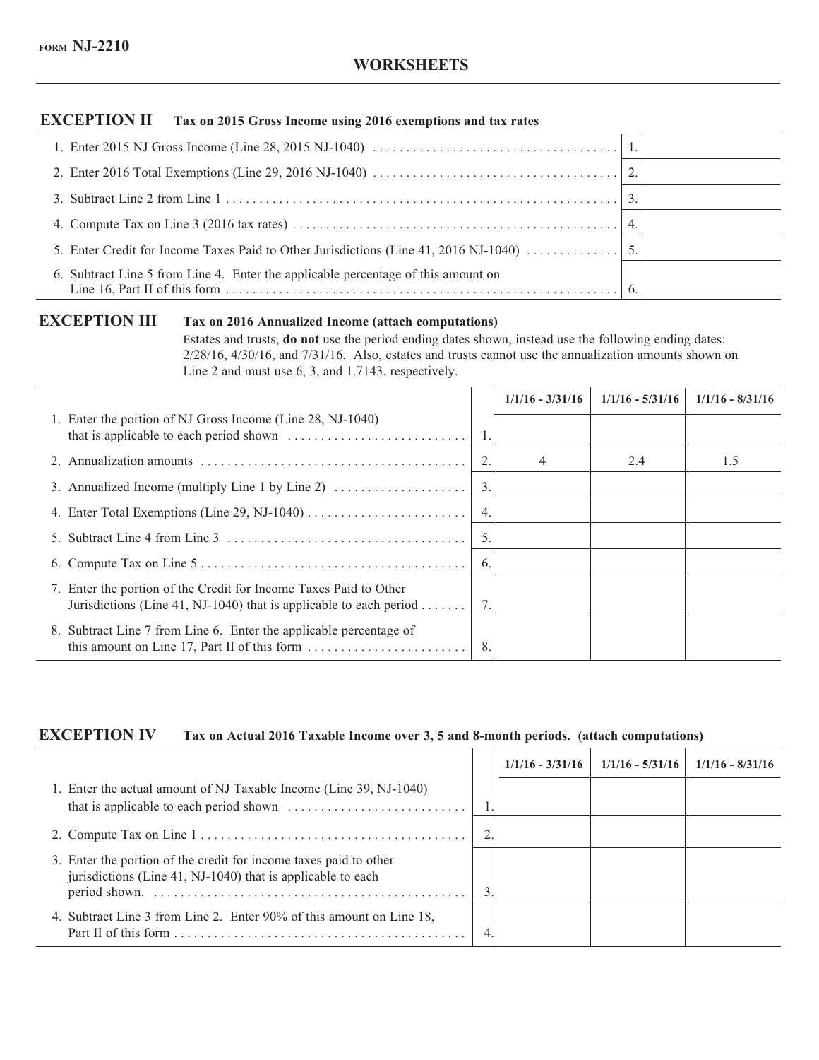### **EXCEPTION II Tax on 2015 Gross Income using 2016 exemptions and tax rates**

| 4.              |  |
|-----------------|--|
|                 |  |
| $\mathfrak{b}.$ |  |
|                 |  |

## **EXCEPTION III Tax on 2016 Annualized Income (attach computations)**

Estates and trusts, **do not** use the period ending dates shown, instead use the following ending dates: 2/28/16, 4/30/16, and 7/31/16. Also, estates and trusts cannot use the annualization amounts shown on Line 2 and must use 6, 3, and 1.7143, respectively.

|                                                                                                                                                                |      |                | $1/1/16 - 3/31/16$   $1/1/16 - 5/31/16$ | $1/1/16 - 8/31/16$ |
|----------------------------------------------------------------------------------------------------------------------------------------------------------------|------|----------------|-----------------------------------------|--------------------|
| 1. Enter the portion of NJ Gross Income (Line 28, NJ-1040)<br>that is applicable to each period shown $\dots \dots \dots \dots \dots \dots \dots \dots$   1.   |      |                |                                         |                    |
|                                                                                                                                                                |      | $\overline{4}$ | 2.4                                     | 1.5                |
|                                                                                                                                                                | 3.   |                |                                         |                    |
| 4. Enter Total Exemptions (Line 29, NJ-1040) $\dots \dots \dots \dots \dots \dots \dots$   4.                                                                  |      |                |                                         |                    |
|                                                                                                                                                                |      |                |                                         |                    |
|                                                                                                                                                                |      |                |                                         |                    |
| 7. Enter the portion of the Credit for Income Taxes Paid to Other<br>Jurisdictions (Line 41, NJ-1040) that is applicable to each period                        |      |                |                                         |                    |
| 8. Subtract Line 7 from Line 6. Enter the applicable percentage of<br>this amount on Line 17, Part II of this form $\dots \dots \dots \dots \dots \dots \dots$ | - 8. |                |                                         |                    |

### **EXCEPTION IV Tax on Actual 2016 Taxable Income over 3, 5 and 8-month periods. (attach computations)**

|                                                                                                                                  | $1/1/16 - 3/31/16$ | $1/1/16 - 5/31/16$ | $1/1/16 - 8/31/16$ |
|----------------------------------------------------------------------------------------------------------------------------------|--------------------|--------------------|--------------------|
| 1. Enter the actual amount of NJ Taxable Income (Line 39, NJ-1040)                                                               |                    |                    |                    |
|                                                                                                                                  |                    |                    |                    |
| 3. Enter the portion of the credit for income taxes paid to other<br>jurisdictions (Line 41, NJ-1040) that is applicable to each |                    |                    |                    |
| 4. Subtract Line 3 from Line 2. Enter 90% of this amount on Line 18,                                                             |                    |                    |                    |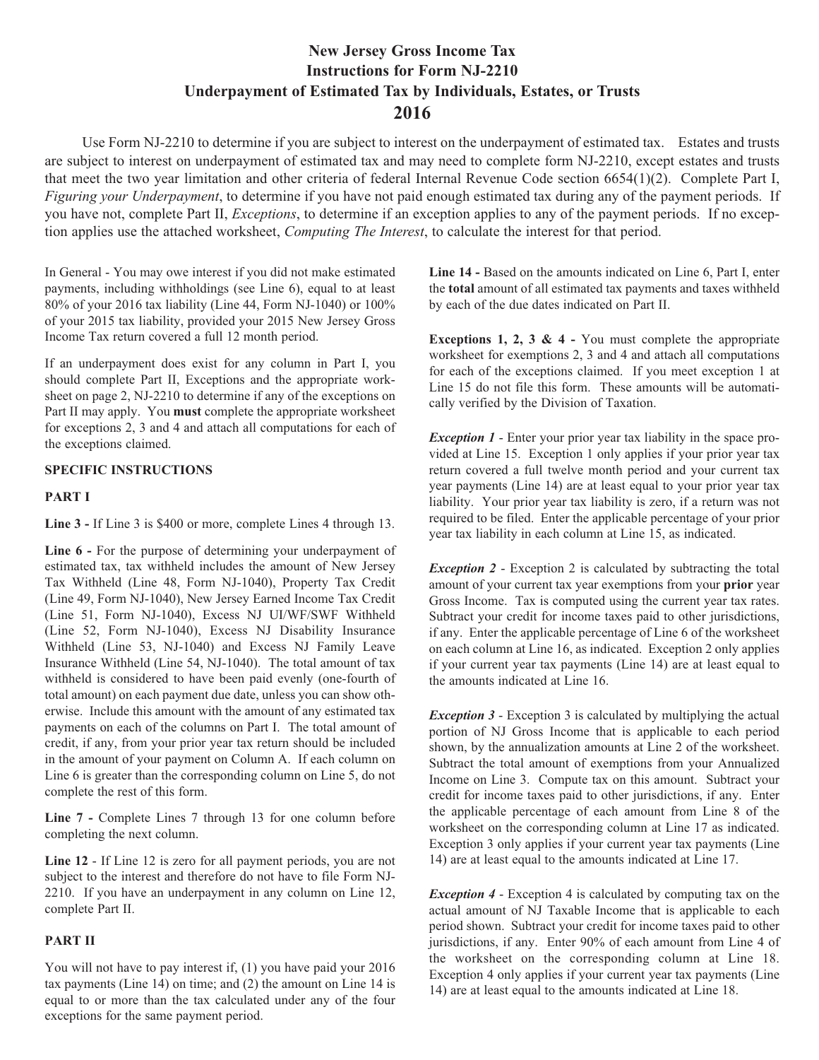# **New Jersey Gross Income Tax Instructions for Form NJ-2210 Underpayment of Estimated Tax by Individuals, Estates, or Trusts 2016**

Use Form NJ-2210 to determine if you are subject to interest on the underpayment of estimated tax. Estates and trusts are subject to interest on underpayment of estimated tax and may need to complete form NJ-2210, except estates and trusts that meet the two year limitation and other criteria of federal Internal Revenue Code section 6654(1)(2). Complete Part I, *Figuring your Underpayment*, to determine if you have not paid enough estimated tax during any of the payment periods. If you have not, complete Part II, *Exceptions*, to determine if an exception applies to any of the payment periods. If no exception applies use the attached worksheet, *Computing The Interest*, to calculate the interest for that period.

In General - You may owe interest if you did not make estimated payments, including withholdings (see Line 6), equal to at least 80% of your 2016 tax liability (Line 44, Form NJ-1040) or 100% of your 2015 tax liability, provided your 2015 New Jersey Gross Income Tax return covered a full 12 month period.

If an underpayment does exist for any column in Part I, you should complete Part II, Exceptions and the appropriate worksheet on page 2, NJ-2210 to determine if any of the exceptions on Part II may apply. You **must** complete the appropriate worksheet for exceptions 2, 3 and 4 and attach all computations for each of the exceptions claimed.

### **SPECIFIC INSTRUCTIONS**

#### **PART I**

**Line 3 -** If Line 3 is \$400 or more, complete Lines 4 through 13.

Line **6** - For the purpose of determining your underpayment of estimated tax, tax withheld includes the amount of New Jersey Tax Withheld (Line 48, Form NJ-1040), Property Tax Credit (Line 49, Form NJ-1040), New Jersey Earned Income Tax Credit (Line 51, Form NJ-1040), Excess NJ UI/WF/SWF Withheld (Line 52, Form NJ-1040), Excess NJ Disability Insurance Withheld (Line 53, NJ-1040) and Excess NJ Family Leave Insurance Withheld (Line 54, NJ-1040). The total amount of tax withheld is considered to have been paid evenly (one-fourth of total amount) on each payment due date, unless you can show otherwise. Include this amount with the amount of any estimated tax payments on each of the columns on Part I. The total amount of credit, if any, from your prior year tax return should be included in the amount of your payment on Column A. If each column on Line 6 is greater than the corresponding column on Line 5, do not complete the rest of this form.

Line 7 - Complete Lines 7 through 13 for one column before completing the next column.

**Line 12** - If Line 12 is zero for all payment periods, you are not subject to the interest and therefore do not have to file Form NJ-2210. If you have an underpayment in any column on Line 12, complete Part II.

#### **PART II**

You will not have to pay interest if, (1) you have paid your 2016 tax payments (Line 14) on time; and (2) the amount on Line 14 is equal to or more than the tax calculated under any of the four exceptions for the same payment period.

**Line 14 -** Based on the amounts indicated on Line 6, Part I, enter the **total** amount of all estimated tax payments and taxes withheld by each of the due dates indicated on Part II.

**Exceptions 1, 2, 3 & 4 -** You must complete the appropriate worksheet for exemptions 2, 3 and 4 and attach all computations for each of the exceptions claimed. If you meet exception 1 at Line 15 do not file this form. These amounts will be automatically verified by the Division of Taxation.

*Exception 1* - Enter your prior year tax liability in the space provided at Line 15. Exception 1 only applies if your prior year tax return covered a full twelve month period and your current tax year payments (Line 14) are at least equal to your prior year tax liability. Your prior year tax liability is zero, if a return was not required to be filed. Enter the applicable percentage of your prior year tax liability in each column at Line 15, as indicated.

*Exception 2* - Exception 2 is calculated by subtracting the total amount of your current tax year exemptions from your **prior** year Gross Income. Tax is computed using the current year tax rates. Subtract your credit for income taxes paid to other jurisdictions, if any. Enter the applicable percentage of Line 6 of the worksheet on each column at Line 16, as indicated. Exception 2 only applies if your current year tax payments (Line 14) are at least equal to the amounts indicated at Line 16.

*Exception 3* - Exception 3 is calculated by multiplying the actual portion of NJ Gross Income that is applicable to each period shown, by the annualization amounts at Line 2 of the worksheet. Subtract the total amount of exemptions from your Annualized Income on Line 3. Compute tax on this amount. Subtract your credit for income taxes paid to other jurisdictions, if any. Enter the applicable percentage of each amount from Line 8 of the worksheet on the corresponding column at Line 17 as indicated. Exception 3 only applies if your current year tax payments (Line 14) are at least equal to the amounts indicated at Line 17.

*Exception 4* - Exception 4 is calculated by computing tax on the actual amount of NJ Taxable Income that is applicable to each period shown. Subtract your credit for income taxes paid to other jurisdictions, if any. Enter 90% of each amount from Line 4 of the worksheet on the corresponding column at Line 18. Exception 4 only applies if your current year tax payments (Line 14) are at least equal to the amounts indicated at Line 18.